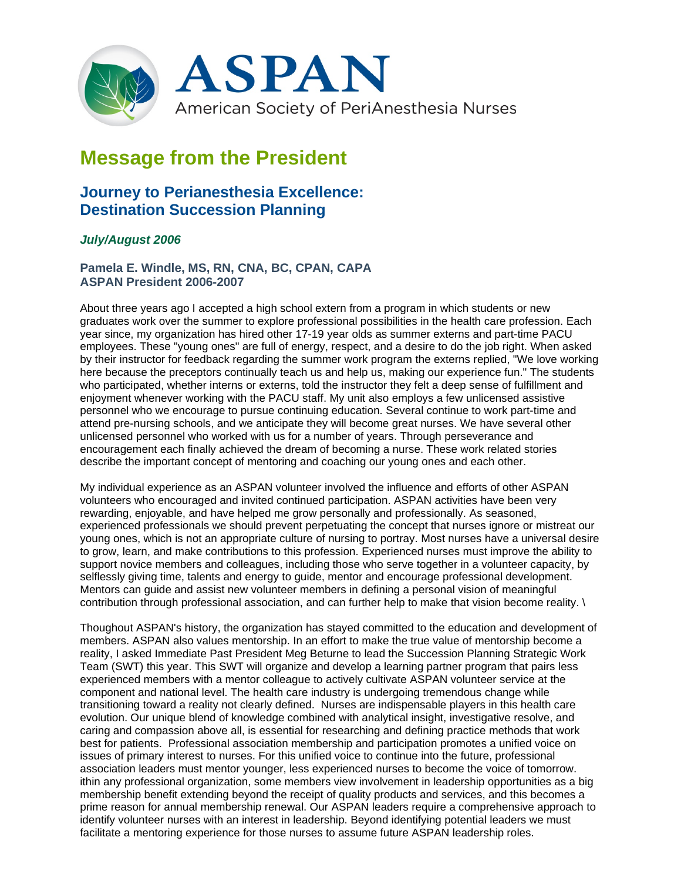

## **Message from the President**

## **Journey to Perianesthesia Excellence: Destination Succession Planning**

## *July/August 2006*

**Pamela E. Windle, MS, RN, CNA, BC, CPAN, CAPA ASPAN President 2006-2007**

About three years ago I accepted a high school extern from a program in which students or new graduates work over the summer to explore professional possibilities in the health care profession. Each year since, my organization has hired other 17-19 year olds as summer externs and part-time PACU employees. These "young ones" are full of energy, respect, and a desire to do the job right. When asked by their instructor for feedback regarding the summer work program the externs replied, "We love working here because the preceptors continually teach us and help us, making our experience fun." The students who participated, whether interns or externs, told the instructor they felt a deep sense of fulfillment and enjoyment whenever working with the PACU staff. My unit also employs a few unlicensed assistive personnel who we encourage to pursue continuing education. Several continue to work part-time and attend pre-nursing schools, and we anticipate they will become great nurses. We have several other unlicensed personnel who worked with us for a number of years. Through perseverance and encouragement each finally achieved the dream of becoming a nurse. These work related stories describe the important concept of mentoring and coaching our young ones and each other.

My individual experience as an ASPAN volunteer involved the influence and efforts of other ASPAN volunteers who encouraged and invited continued participation. ASPAN activities have been very rewarding, enjoyable, and have helped me grow personally and professionally. As seasoned, experienced professionals we should prevent perpetuating the concept that nurses ignore or mistreat our young ones, which is not an appropriate culture of nursing to portray. Most nurses have a universal desire to grow, learn, and make contributions to this profession. Experienced nurses must improve the ability to support novice members and colleagues, including those who serve together in a volunteer capacity, by selflessly giving time, talents and energy to guide, mentor and encourage professional development. Mentors can guide and assist new volunteer members in defining a personal vision of meaningful contribution through professional association, and can further help to make that vision become reality. \

Thoughout ASPAN's history, the organization has stayed committed to the education and development of members. ASPAN also values mentorship. In an effort to make the true value of mentorship become a reality, I asked Immediate Past President Meg Beturne to lead the Succession Planning Strategic Work Team (SWT) this year. This SWT will organize and develop a learning partner program that pairs less experienced members with a mentor colleague to actively cultivate ASPAN volunteer service at the component and national level. The health care industry is undergoing tremendous change while transitioning toward a reality not clearly defined. Nurses are indispensable players in this health care evolution. Our unique blend of knowledge combined with analytical insight, investigative resolve, and caring and compassion above all, is essential for researching and defining practice methods that work best for patients. Professional association membership and participation promotes a unified voice on issues of primary interest to nurses. For this unified voice to continue into the future, professional association leaders must mentor younger, less experienced nurses to become the voice of tomorrow. ithin any professional organization, some members view involvement in leadership opportunities as a big membership benefit extending beyond the receipt of quality products and services, and this becomes a prime reason for annual membership renewal. Our ASPAN leaders require a comprehensive approach to identify volunteer nurses with an interest in leadership. Beyond identifying potential leaders we must facilitate a mentoring experience for those nurses to assume future ASPAN leadership roles.